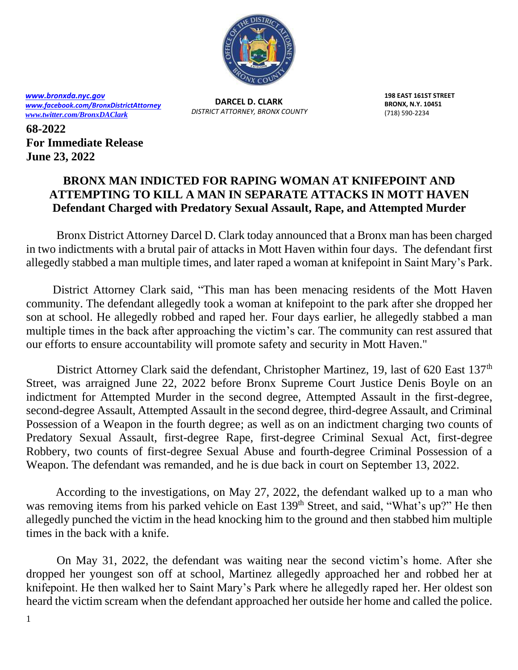

*[www.bronxda.nyc.gov](http://www.bronxda.nyc.gov/) [www.facebook.com/BronxDistrictAttorney](file://///bronxda.nycnet/shares/UNITS/PUBLIC-INFORMATION/Public-Information/2016/www.facebook.com/BronxDistrictAttorney) [www.twitter.com/BronxDAClark](file://///bronxda.nycnet/shares/UNITS/PUBLIC-INFORMATION/Public-Information/2016/www.twitter.com/BronxDAClark)*

**DARCEL D. CLARK** *DISTRICT ATTORNEY, BRONX COUNTY* **198 EAST 161ST STREET BRONX, N.Y. 10451** (718) 590-2234

**68-2022 For Immediate Release June 23, 2022**

## **BRONX MAN INDICTED FOR RAPING WOMAN AT KNIFEPOINT AND ATTEMPTING TO KILL A MAN IN SEPARATE ATTACKS IN MOTT HAVEN Defendant Charged with Predatory Sexual Assault, Rape, and Attempted Murder**

 Bronx District Attorney Darcel D. Clark today announced that a Bronx man has been charged in two indictments with a brutal pair of attacks in Mott Haven within four days. The defendant first allegedly stabbed a man multiple times, and later raped a woman at knifepoint in Saint Mary's Park.

 District Attorney Clark said, "This man has been menacing residents of the Mott Haven community. The defendant allegedly took a woman at knifepoint to the park after she dropped her son at school. He allegedly robbed and raped her. Four days earlier, he allegedly stabbed a man multiple times in the back after approaching the victim's car. The community can rest assured that our efforts to ensure accountability will promote safety and security in Mott Haven."

District Attorney Clark said the defendant, Christopher Martinez, 19, last of 620 East 137<sup>th</sup> Street, was arraigned June 22, 2022 before Bronx Supreme Court Justice Denis Boyle on an indictment for Attempted Murder in the second degree, Attempted Assault in the first-degree, second-degree Assault, Attempted Assault in the second degree, third-degree Assault, and Criminal Possession of a Weapon in the fourth degree; as well as on an indictment charging two counts of Predatory Sexual Assault, first-degree Rape, first-degree Criminal Sexual Act, first-degree Robbery, two counts of first-degree Sexual Abuse and fourth-degree Criminal Possession of a Weapon. The defendant was remanded, and he is due back in court on September 13, 2022.

 According to the investigations, on May 27, 2022, the defendant walked up to a man who was removing items from his parked vehicle on East 139<sup>th</sup> Street, and said, "What's up?" He then allegedly punched the victim in the head knocking him to the ground and then stabbed him multiple times in the back with a knife.

On May 31, 2022, the defendant was waiting near the second victim's home. After she dropped her youngest son off at school, Martinez allegedly approached her and robbed her at knifepoint. He then walked her to Saint Mary's Park where he allegedly raped her. Her oldest son heard the victim scream when the defendant approached her outside her home and called the police.